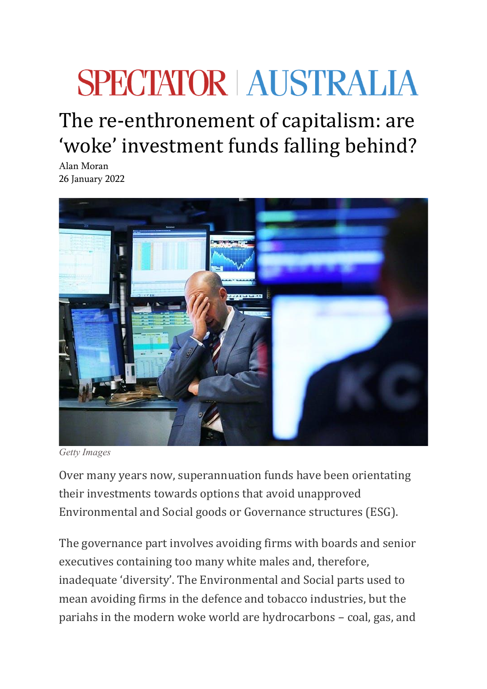## **SPECTATOR | AUSTRALIA**

## The re-enthronement of capitalism: are 'woke' investment funds falling behind?

[Alan Moran](https://spectator.com.au/author/alanmoran/) 26 January 2022



*Getty Images*

Over many years now, superannuation funds have been orientating their investments towards options that avoid unapproved Environmental and Social goods or Governance structures (ESG).

The governance part involves avoiding firms with boards and senior executives containing too many white males and, therefore, inadequate 'diversity'. The Environmental and Social parts used to mean avoiding firms in the defence and tobacco industries, but the pariahs in the modern woke world are hydrocarbons – coal, gas, and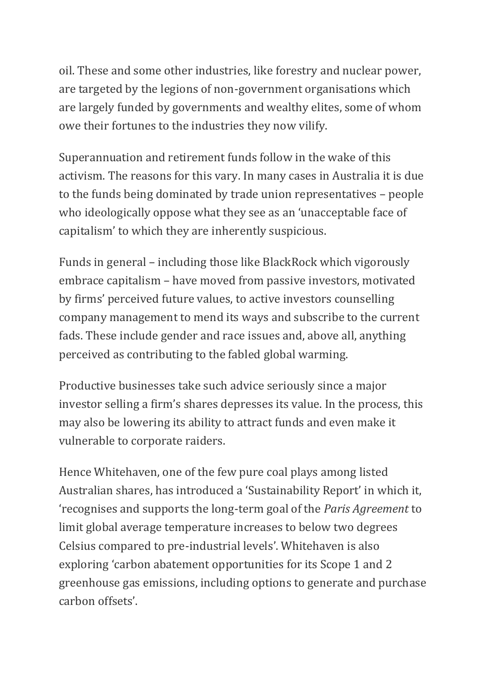oil. These and some other industries, like forestry and nuclear power, are targeted by the legions of non-government organisations which are largely funded by governments and wealthy elites, some of whom owe their fortunes to the industries they now vilify.

Superannuation and retirement funds follow in the wake of this activism. The reasons for this vary. In many cases in Australia it is due to the funds being dominated by trade union representatives – people who ideologically oppose what they see as an 'unacceptable face of capitalism' to which they are inherently suspicious.

Funds in general – including those like BlackRock which vigorously embrace capitalism – have moved from passive investors, motivated by firms' perceived future values, to active investors counselling company management to mend its ways and subscribe to the current fads. These include gender and race issues and, above all, anything perceived as contributing to the fabled global warming.

Productive businesses take such advice seriously since a major investor selling a firm's shares depresses its value. In the process, this may also be lowering its ability to attract funds and even make it vulnerable to corporate raiders.

Hence Whitehaven, one of the few pure coal plays among listed Australian shares, has introduced a 'Sustainability Report' in which it, 'recognises and supports the long-term goal of the *Paris Agreement* to limit global average temperature increases to below two degrees Celsius compared to pre-industrial levels'. Whitehaven is also exploring 'carbon abatement opportunities for its Scope 1 and 2 greenhouse gas emissions, including options to generate and purchase carbon offsets'.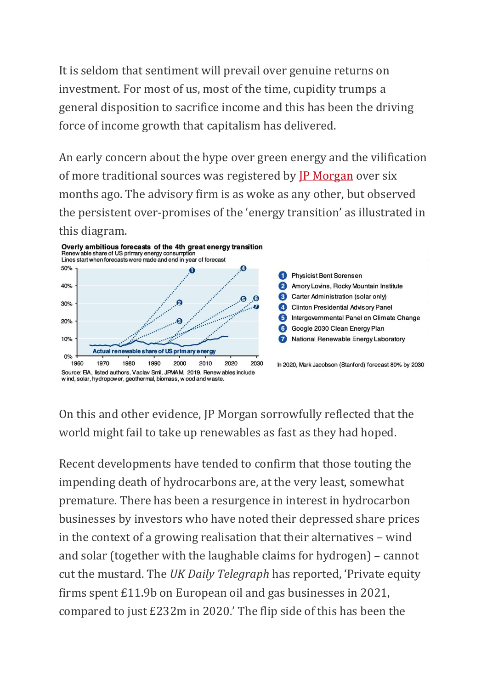It is seldom that sentiment will prevail over genuine returns on investment. For most of us, most of the time, cupidity trumps a general disposition to sacrifice income and this has been the driving force of income growth that capitalism has delivered.

An early concern about the hype over green energy and the vilification of more traditional sources was registered by [JP Morgan](https://privatebank.jpmorgan.com/content/dam/jpm-wm-aem/global/cwm/en/insights/eye-on-the-market/future-shock-jpmwm.pdf) over six months ago. The advisory firm is as woke as any other, but observed the persistent over-promises of the 'energy transition' as illustrated in this diagram.



On this and other evidence, JP Morgan sorrowfully reflected that the world might fail to take up renewables as fast as they had hoped.

Recent developments have tended to confirm that those touting the impending death of hydrocarbons are, at the very least, somewhat premature. There has been a resurgence in interest in hydrocarbon businesses by investors who have noted their depressed share prices in the context of a growing realisation that their alternatives – wind and solar (together with the laughable claims for hydrogen) – cannot cut the mustard. The *UK Daily Telegraph* has reported, 'Private equity firms spent £11.9b on European oil and gas businesses in 2021, compared to just £232m in 2020.' The flip side of this has been the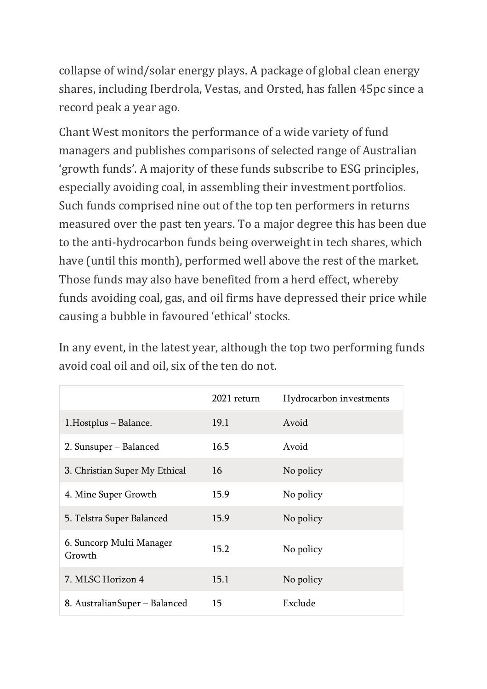collapse of wind/solar energy plays. A package of global clean energy shares, including Iberdrola, Vestas, and Orsted, has fallen 45pc since a record peak a year ago.

Chant West monitors the performance of a wide variety of fund managers and publishes comparisons of selected range of Australian 'growth funds'. A majority of these funds subscribe to ESG principles, especially avoiding coal, in assembling their investment portfolios. Such funds comprised nine out of the top ten performers in returns measured over the past ten years. To a major degree this has been due to the anti-hydrocarbon funds being overweight in tech shares, which have (until this month), performed well above the rest of the market. Those funds may also have benefited from a herd effect, whereby funds avoiding coal, gas, and oil firms have depressed their price while causing a bubble in favoured 'ethical' stocks.

In any event, in the latest year, although the top two performing funds avoid coal oil and oil, six of the ten do not.

|                                    | 2021 return | Hydrocarbon investments |
|------------------------------------|-------------|-------------------------|
| 1. Hostplus - Balance.             | 19.1        | Avoid                   |
| 2. Sunsuper - Balanced             | 16.5        | Avoid                   |
| 3. Christian Super My Ethical      | 16          | No policy               |
| 4. Mine Super Growth               | 15.9        | No policy               |
| 5. Telstra Super Balanced          | 15.9        | No policy               |
| 6. Suncorp Multi Manager<br>Growth | 15.2        | No policy               |
| 7. MLSC Horizon 4                  | 15.1        | No policy               |
| 8. AustralianSuper – Balanced      | 15          | Exclude                 |